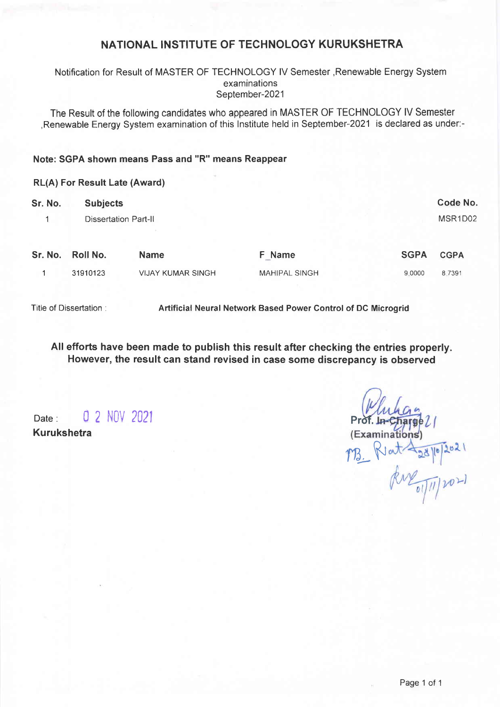## NATIONAL INSTITUTE OF TECHNOLOGY KURUKSHETRA

### Notification for Result of MASTER OF TECHNOLOGY lV Semester ,Renewable Energy System examinations September-2021

The Result of the following candidates who appeared in MASTER OF TECHNOLOGY lV Semester ,Renewable Energy System examination of this lnstitute held in September-2021 is declared as under:-

### Note: SGPA shown means Pass and "R" means Reappear

#### RL(A) For Result Late (Award)

| Sr. No. | <b>Subjects</b>             |                          |                      |             |             |
|---------|-----------------------------|--------------------------|----------------------|-------------|-------------|
|         | <b>Dissertation Part-II</b> |                          |                      |             |             |
|         |                             |                          |                      |             |             |
| Sr. No. | <b>Roll No.</b>             | <b>Name</b>              | F Name               | <b>SGPA</b> | <b>CGPA</b> |
|         | 31910123                    | <b>VIJAY KUMAR SINGH</b> | <b>MAHIPAL SINGH</b> | 9.0000      | 8.7391      |
|         |                             |                          |                      |             |             |

Title of Dissertation :

Artificial Neural Network Based Power Gontrol of DC Microgrid

All efforts have been made to publish this result after checking the entries properly. However, the result can stand revised in case some discrepancy is observed

Date: 0 2 NOV 2021 Kurukshetra

Prdf. (Examinations)  $Rint \frac{28}{|b|} \frac{2021}{201}$